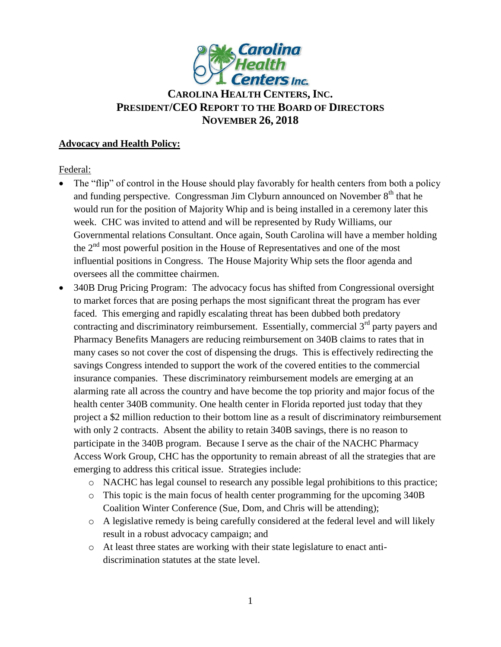

# **CAROLINA HEALTH CENTERS,INC. PRESIDENT/CEO REPORT TO THE BOARD OF DIRECTORS NOVEMBER 26, 2018**

#### **Advocacy and Health Policy:**

Federal:

- The "flip" of control in the House should play favorably for health centers from both a policy and funding perspective. Congressman Jim Clyburn announced on November  $8<sup>th</sup>$  that he would run for the position of Majority Whip and is being installed in a ceremony later this week. CHC was invited to attend and will be represented by Rudy Williams, our Governmental relations Consultant. Once again, South Carolina will have a member holding the  $2<sup>nd</sup>$  most powerful position in the House of Representatives and one of the most influential positions in Congress. The House Majority Whip sets the floor agenda and oversees all the committee chairmen.
- 340B Drug Pricing Program: The advocacy focus has shifted from Congressional oversight to market forces that are posing perhaps the most significant threat the program has ever faced. This emerging and rapidly escalating threat has been dubbed both predatory contracting and discriminatory reimbursement. Essentially, commercial 3<sup>rd</sup> party payers and Pharmacy Benefits Managers are reducing reimbursement on 340B claims to rates that in many cases so not cover the cost of dispensing the drugs. This is effectively redirecting the savings Congress intended to support the work of the covered entities to the commercial insurance companies. These discriminatory reimbursement models are emerging at an alarming rate all across the country and have become the top priority and major focus of the health center 340B community. One health center in Florida reported just today that they project a \$2 million reduction to their bottom line as a result of discriminatory reimbursement with only 2 contracts. Absent the ability to retain 340B savings, there is no reason to participate in the 340B program. Because I serve as the chair of the NACHC Pharmacy Access Work Group, CHC has the opportunity to remain abreast of all the strategies that are emerging to address this critical issue. Strategies include:
	- o NACHC has legal counsel to research any possible legal prohibitions to this practice;
	- o This topic is the main focus of health center programming for the upcoming 340B Coalition Winter Conference (Sue, Dom, and Chris will be attending);
	- o A legislative remedy is being carefully considered at the federal level and will likely result in a robust advocacy campaign; and
	- o At least three states are working with their state legislature to enact antidiscrimination statutes at the state level.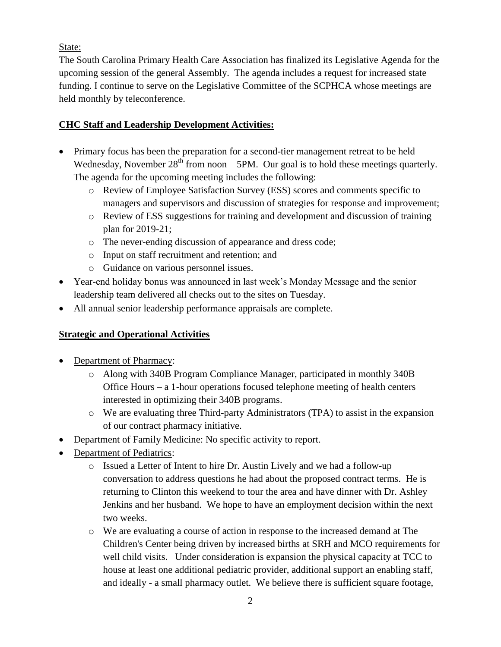State:

The South Carolina Primary Health Care Association has finalized its Legislative Agenda for the upcoming session of the general Assembly. The agenda includes a request for increased state funding. I continue to serve on the Legislative Committee of the SCPHCA whose meetings are held monthly by teleconference.

## **CHC Staff and Leadership Development Activities:**

- Primary focus has been the preparation for a second-tier management retreat to be held Wednesday, November  $28<sup>th</sup>$  from noon – 5PM. Our goal is to hold these meetings quarterly. The agenda for the upcoming meeting includes the following:
	- o Review of Employee Satisfaction Survey (ESS) scores and comments specific to managers and supervisors and discussion of strategies for response and improvement;
	- o Review of ESS suggestions for training and development and discussion of training plan for 2019-21;
	- o The never-ending discussion of appearance and dress code;
	- o Input on staff recruitment and retention; and
	- o Guidance on various personnel issues.
- Year-end holiday bonus was announced in last week's Monday Message and the senior leadership team delivered all checks out to the sites on Tuesday.
- All annual senior leadership performance appraisals are complete.

## **Strategic and Operational Activities**

- Department of Pharmacy:
	- o Along with 340B Program Compliance Manager, participated in monthly 340B Office Hours – a 1-hour operations focused telephone meeting of health centers interested in optimizing their 340B programs.
	- o We are evaluating three Third-party Administrators (TPA) to assist in the expansion of our contract pharmacy initiative.
- Department of Family Medicine: No specific activity to report.
- Department of Pediatrics:
	- o Issued a Letter of Intent to hire Dr. Austin Lively and we had a follow-up conversation to address questions he had about the proposed contract terms. He is returning to Clinton this weekend to tour the area and have dinner with Dr. Ashley Jenkins and her husband. We hope to have an employment decision within the next two weeks.
	- o We are evaluating a course of action in response to the increased demand at The Children's Center being driven by increased births at SRH and MCO requirements for well child visits. Under consideration is expansion the physical capacity at TCC to house at least one additional pediatric provider, additional support an enabling staff, and ideally - a small pharmacy outlet. We believe there is sufficient square footage,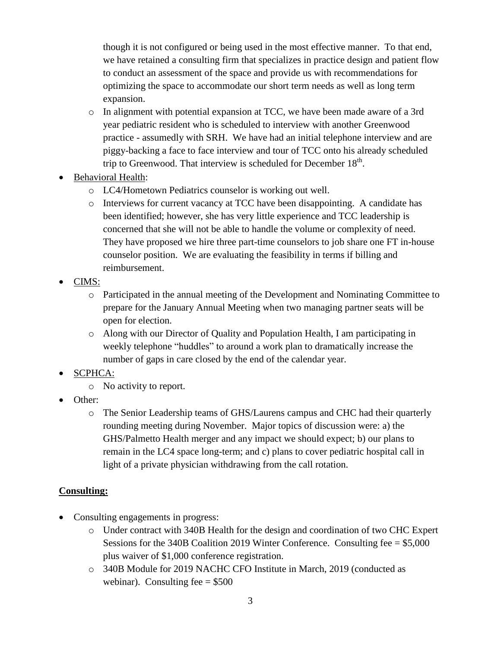though it is not configured or being used in the most effective manner. To that end, we have retained a consulting firm that specializes in practice design and patient flow to conduct an assessment of the space and provide us with recommendations for optimizing the space to accommodate our short term needs as well as long term expansion.

- o In alignment with potential expansion at TCC, we have been made aware of a 3rd year pediatric resident who is scheduled to interview with another Greenwood practice - assumedly with SRH. We have had an initial telephone interview and are piggy-backing a face to face interview and tour of TCC onto his already scheduled trip to Greenwood. That interview is scheduled for December  $18<sup>th</sup>$ .
- Behavioral Health:
	- o LC4/Hometown Pediatrics counselor is working out well.
	- o Interviews for current vacancy at TCC have been disappointing. A candidate has been identified; however, she has very little experience and TCC leadership is concerned that she will not be able to handle the volume or complexity of need. They have proposed we hire three part-time counselors to job share one FT in-house counselor position. We are evaluating the feasibility in terms if billing and reimbursement.
- CIMS:
	- o Participated in the annual meeting of the Development and Nominating Committee to prepare for the January Annual Meeting when two managing partner seats will be open for election.
	- o Along with our Director of Quality and Population Health, I am participating in weekly telephone "huddles" to around a work plan to dramatically increase the number of gaps in care closed by the end of the calendar year.
- SCPHCA:
	- o No activity to report.
- Other:
	- o The Senior Leadership teams of GHS/Laurens campus and CHC had their quarterly rounding meeting during November. Major topics of discussion were: a) the GHS/Palmetto Health merger and any impact we should expect; b) our plans to remain in the LC4 space long-term; and c) plans to cover pediatric hospital call in light of a private physician withdrawing from the call rotation.

## **Consulting:**

- Consulting engagements in progress:
	- o Under contract with 340B Health for the design and coordination of two CHC Expert Sessions for the 340B Coalition 2019 Winter Conference. Consulting fee = \$5,000 plus waiver of \$1,000 conference registration.
	- o 340B Module for 2019 NACHC CFO Institute in March, 2019 (conducted as webinar). Consulting fee  $= $500$